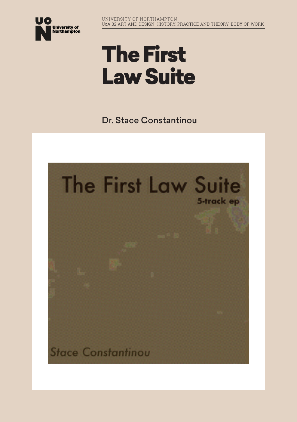

# The First Law Suite

Dr. Stace Constantinou

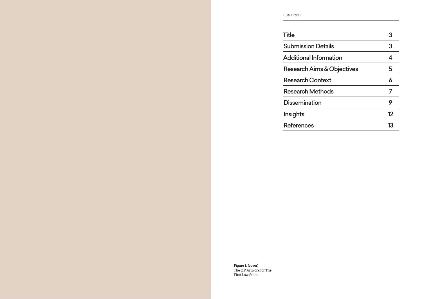CONTENTS

| <b>Title</b>                  | 3  |
|-------------------------------|----|
| <b>Submission Details</b>     | 3  |
| <b>Additional Information</b> | 4  |
| Research Aims & Objectives    | 5  |
| <b>Research Context</b>       | 6  |
| <b>Research Methods</b>       | 7  |
| <b>Dissemination</b>          | 9  |
| Insights                      | 12 |
| <b>References</b>             | 13 |

**Figure 1. (cover)** The E.P Artwork for The First Law Suite.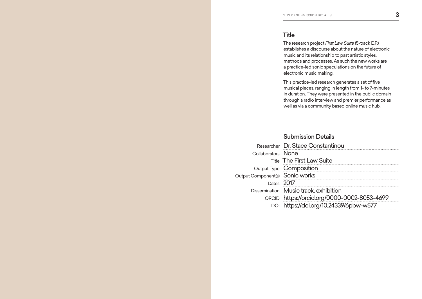#### **Title**

The research project *First Law Suite* (5-track E.P.) establishes a discourse about the nature of electronic music and its relationship to past artistic styles, methods and processes. As such the new works are a practice-led sonic speculations on the future of electronic music making.

This practice-led research generates a set of five musical pieces, ranging in length from 1- to 7-minutes in duration. They were presented in the public domain through a radio interview and premier performance as well as via a community based online music hub.

## Submission Details

|                                 | Researcher Dr. Stace Constantinou           |
|---------------------------------|---------------------------------------------|
| Collaborators None              |                                             |
|                                 | <b>Title The First Law Suite</b>            |
|                                 | Output Type Composition                     |
| Output Component(s) Sonic works |                                             |
| Dates 2017                      |                                             |
|                                 | Dissemination Music track, exhibition       |
|                                 | ORCID https://orcid.org/0000-0002-8053-4699 |
|                                 | DOI https://doi.org/10.24339/6pbw-w577      |
|                                 |                                             |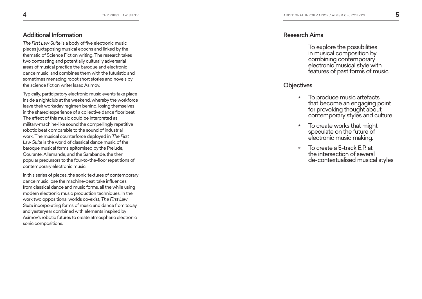# Additional Information

*The First Law Suite* is a body of five electronic music pieces juxtaposing musical epochs and linked by the thematic of Science Fiction writing. The research takes two contrasting and potentially culturally adversarial areas of musical practice the baroque and electronic dance music, and combines them with the futuristic and sometimes menacing robot short stories and novels by the science fiction writer Isaac Asimov.

Typically, participatory electronic music events take place inside a nightclub at the weekend, whereby the workforce leave their workaday regimen behind, losing themselves in the shared experience of a collective dance floor beat. The effect of this music could be interpreted as military-machine-like sound the compellingly repetitive robotic beat comparable to the sound of industrial work. The musical counterforce deployed in *The First Law Suite* is the world of classical dance music of the baroque musical forms epitomised by the Prelude, Courante, Allemande, and the Sarabande, the then popular precursors to the four-to-the-floor repetitions of contemporary electronic music.

In this series of pieces, the sonic textures of contemporary dance music lose the machine-beat, take influences from classical dance and music forms, all the while using modern electronic music production techniques. In the work two oppositional worlds co-exist, *The First Law Suite* incorporating forms of music and dance from today and yesteryear combined with elements inspired by Asimov's robotic futures to create atmospheric electronic sonic compositions.

#### Research Aims

To explore the possibilities in musical composition by combining contemporary electronic musical style with features of past forms of music.

#### **Objectives**

- $\star$ To produce music artefacts that become an engaging point for provoking thought about contemporary styles and culture
- \*\*\*\*\*\*\* To create works that might  $\star$ speculate on the future of electronic music making.
- To create a 5-track E.P. at  $\star$ the intersection of several de-contextualised musical styles

<span id="page-3-0"></span>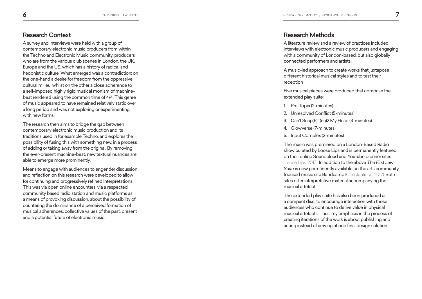## <span id="page-4-0"></span>Research Context

A survey and interviews were held with a group of contemporary electronic music producers from within the Techno and Electronic Music community, producers who are from the various club scenes in London, the UK, Europe and the US, which has a history of radical and hedonistic culture. What emerged was a contradiction; on the one-hand a desire for freedom from the oppressive cultural milieu, whilst on the other a close adherence to a self-imposed highly rigid musical monism of machinebeat rendered using the common time of 4/4. This genre of music appeared to have remained relatively static over a long period and was not exploring or experimenting with new forms.

The research then aims to bridge the gap between contemporary electronic music production and its traditions used in for example Techno, and explores the possibility of fusing this with something new, in a process of adding or taking away from the original. By removing the ever-present machine-beat, new textural nuances are able to emerge more prominently.

Means to engage with audiences to engender discussion and reflection on this research were developed to allow for continuing and progressively refined interpretations. This was via open online encounters, via a respected community based radio station and music platforms as a means of provoking discussion, about the possibility of countering the dominance of a perceived formation of musical adherences, collective values of the past, present and a potential future of electronic music.

### Research Methods

A literature review and a review of practices included interviews with electronic music producers and engaging with a community of London-based, but also globally connected performers and artists.

A music-led approach to create works that juxtapose different historical musical styles and to test their reception

Five musical pieces were produced that comprise the extended play suite:

- 1. Pre-Topia (2-minutes)
- 2. Unresolved Conflict (5-minutes)
- 3. Can't Scap(E)=(nc)2 My Head (3-minutes)
- 4. Glowverse (7-minutes)
- 5. Input Complex (2-minutes)

The music was premiered on a London-Based Radio show curated by Loose Lips and is permanently featured on their online Soundcloud and Youtube premier sites (Loose Lips, 2017). In addition to the above *The First Law Suite* is now permanently available on the arts community focused music site Bandcamp (Constantinou, 2017). Both sites offer interpretative material accompanying the musical artefact.

The extended play suite has also been produced as a compact disc, to encourage interaction with those audiences who continue to derive value in physical musical artefacts. Thus, my emphasis in the process of creating iterations of the work is about publishing and acting instead of arriving at one final design solution.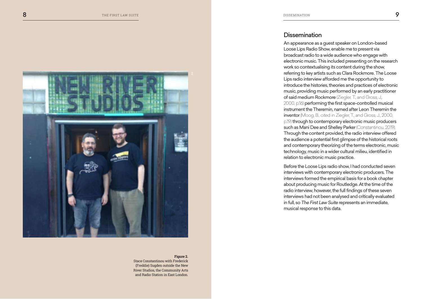

#### **Figure 2.**

Stace Constantinou with Frederick (Freddie) Sugden outside the New River Studios, the Community Arts and Radio Station in East London.

#### **Dissemination**

An appearance as a guest speaker on London-based Loose Lips Radio Show, enable me to present via broadcast radio to a wide audience who engage with electronic music. This included presenting on the research work so contextualising its content during the show, referring to key artists such as Clara Rockmore. The Loose Lips radio interview afforded me the opportunity to introduce the histories, theories and practices of electronic music, providing music performed by an early practitioner of said medium Rockmore (Ziegler, T., and Gross, J,. 2000, p.16) performing the first space-controlled musical instrument the Theremin, named after Leon Theremin the inventor (Moog, B., cited in Ziegler, T., and Gross, J., 2000, p.19) through to contemporary electronic music producers such as Mani Dee and Shelley Parker (Constantinou, 2019). Through the content provided, the radio interview offered the audience a potential first glimpse of the historical roots and contemporary theorizing of the terms electronic, music technology, music in a wider cultural milieu, identified in relation to electronic music practice.

Before the Loose Lips radio show, I had conducted seven interviews with contemporary electronic producers. The interviews formed the empirical basis for a book chapter about producing music for Routledge. At the time of the radio interview, however, the full findings of these seven interviews had not been analysed and critically evaluated in full, so *The First Law Suite* represents an immediate, musical response to this data.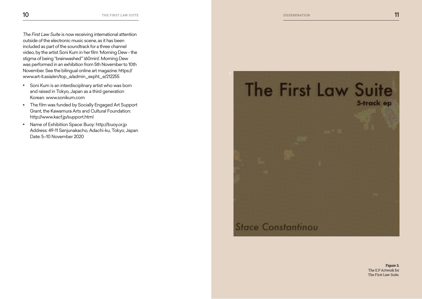<span id="page-6-0"></span>*The First Law Suite* is now receiving international attention outside of the electronic music scene, as it has been included as part of the soundtrack for a three channel video, by the artist Soni Kum in her film 'Morning Dew - the stigma of being "brainwashed"' (60min)'. Morning Dew was performed in an exhibition from 5th November to 10th November. See the bilingual online art magazine: https:// www.art-it.asia/en/top\_e/admin\_expht\_e/212255

- \* Soni Kum is an interdisciplinary artist who was born and raised in Tokyo, Japan as a third generation Korean. www.sonikum.com
- \* The film was funded by Socially Engaged Art Support Grant, the Kawamura Arts and Cultural Foundation: http://www.kacf.jp/support.html
- \* Name of Exhibition Space: Buoy: http://buoy.or.jp Address: 49-11 Senjunakacho, Adachi-ku, Tokyo, Japan Date: 5–10 November 2020



**Figure 3.** The E.P Artwork for The First Law Suite.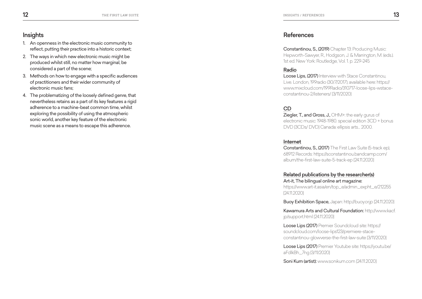# <span id="page-7-0"></span>**Insights**

- 1. An openness in the electronic music community to reflect, putting their practice into a historic context;
- 2. The ways in which new electronic music might be produced whilst still, no matter how marginal, be considered a part of the scene;
- 3. Methods on how to engage with a specific audiences of practitioners and their wider community of electronic music fans;
- 4. The problematizing of the loosely defined genre, that nevertheless retains as a part of its key features a rigid adherence to a machine-beat common time, whilst exploring the possibility of using the atmospheric sonic world, another key feature of the electronic music scene as a means to escape this adherence.

#### References

Constantinou, S., (2019) Chapter 13: Producing Music: Hepworth-Sawyer, R., Hodgson, J. & Marrington, M. (eds.). 1st ed. New York: Routledge, Vol. 1. p. 229-245

### Radio

Loose Lips, (2017) Interview with Stace Constantinou, Live. London, 199radio (30/7/2017), available here: https:// www.mixcloud.com/199Radio/310717-loose-lips-wstaceconstantinou-2/listeners/ [3/11/2020]

#### CD

Ziegler, T., and Gross, J., OHM+: the early gurus of electronic music: 1948-1980. special edition 3CD + bonus DVD [3CDs/ DVD] Canada: ellipsis arts… 2000.

#### Internet

Constantinou, S., (2017) The First Law Suite (5-track ep), 68912 Records: https://sconstantinou.bandcamp.com/ album/the-first-law-suite-5-track-ep [24.11.2020]

#### Related publications by the researcher(s) Art-it, The bilingual online art magazine:

https://www.art-it.asia/en/top\_e/admin\_expht\_e/212255 [24.11.2020]

Buoy Exhibition Space, Japan: http://buoy.or.jp [24.11.2020]

Kawamura Arts and Cultural Foundation: http://www.kacf. jp/support.html [24.11.2020]

Loose Lips (2017) Premier Soundcloud site: https:// soundcloud.com/loose-lips123/premiere-staceconstantinou-glowverse-the-first-law-suite [3/11/2020]

Loose Lips (2017) Premier Youtube site: https://youtu.be/ aFdlkBh\_7ng [3/11/2020]

Soni Kum (artist): www.sonikum.com [24.11.2020]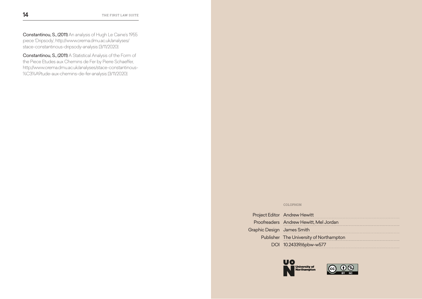Constantinou, S., (2011) An analysis of Hugh Le Caine's 1955 piece 'Dripsody', http://www.orema.dmu.ac.uk/analyses/ stace-constantinous-dripsody-analysis [3/11/2020]

Constantinou, S., (2011) A Statistical Analysis of the Form of the Piece Etudes aux Chemins de Fer by Pierre Schaeffer, http://www.orema.dmu.ac.uk/analyses/stace-constantinous- %C3%A9tude-aux-chemins-de-fer-analysis [3/11/2020]

#### COLOPHON

|                            | Project Editor Andrew Hewitt            |
|----------------------------|-----------------------------------------|
|                            | Proofreaders Andrew Hewitt, Mel Jordan  |
| Graphic Design James Smith |                                         |
|                            | Publisher The University of Northampton |
|                            | DOI 10.24339/6pbw-w577                  |